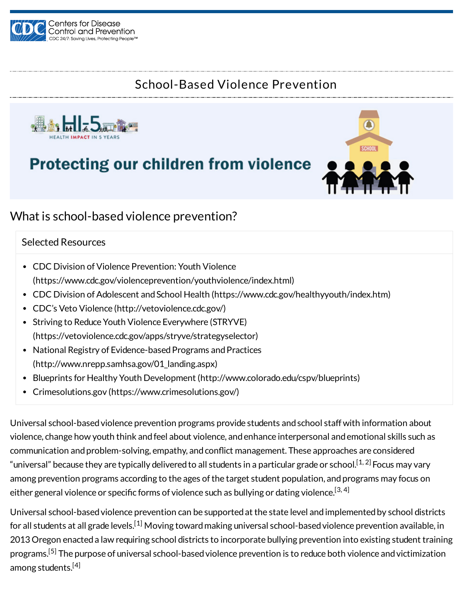

### School-Based Violence Prevention



# **Protecting our children from violence**



### What is school-based violence prevention?

#### Selected Resources

- CDC Division of Violence Prevention: Youth Violence [\(https://www.cdc.gov/violenceprevention/youthviolence/index.html\)](https://www.cdc.gov/violenceprevention/youthviolence/index.html)
- CDC Division of Adolescent and School Health [\(https://www.cdc.gov/healthyyouth/index.htm\)](https://www.cdc.gov/healthyyouth/index.htm)
- CDC's Veto Violence [\(http://vetoviolence.cdc.gov/\)](http://vetoviolence.cdc.gov/)
- Striving to Reduce Youth Violence Everywhere (STRYVE) [\(https://vetoviolence.cdc.gov/apps/stryve/strategyselector\)](https://vetoviolence.cdc.gov/apps/stryve/strategyselector)
- National Registry of Evidence-based Programs and Practices [\(http://www.nrepp.samhsa.gov/01\\_landing.aspx\)](http://www.nrepp.samhsa.gov/01_landing.aspx)
- Blueprints for Healthy Youth Development [\(http://www.colorado.edu/cspv/blueprints\)](http://www.colorado.edu/cspv/blueprints)
- Crimesolutions.gov [\(https://www.crimesolutions.gov/\)](https://www.crimesolutions.gov/)

Universal school-based violence prevention programs provide students and school staff with information about violence, change how youth think andfeel about violence, andenhance interpersonal andemotional skills such as communication and problem-solving, empathy, and conflict management. These approaches are considered "universal" because they are typically delivered to all students in a particular grade or school.<sup>[1, 2]</sup> Focus may vary among prevention programs according to the ages of the target student population, and programs may focus on either general violence or specific forms of violence such as bullying or dating violence. $^{\left[ 3,4\right] }$ 

Universal school-basedviolence prevention can be supportedat the state level andimplementedby school districts for all students at all grade levels.<sup>[1]</sup> Moving toward making universal school-based violence prevention available, in 2013 Oregon enacted a law requiring school districts to incorporate bullying prevention into existing student training programs.<sup>[5]</sup> The purpose of universal school-based violence prevention is to reduce both violence and victimization among students.<sup>[4]</sup>